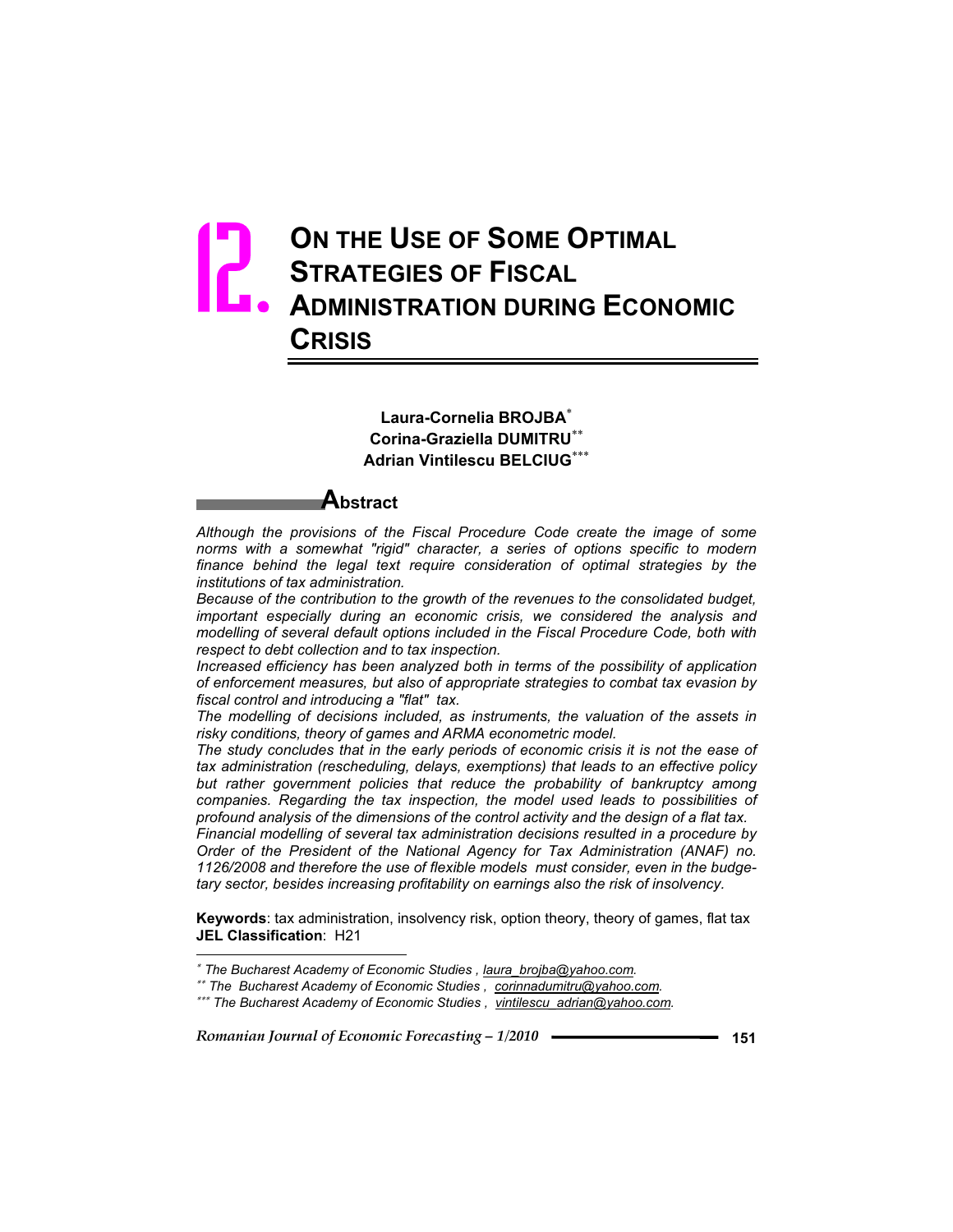# **ON THE USE OF SOME OPTIMAL STRATEGIES OF FISCAL ADMINISTRATION DURING ECONOMIC CRISIS** 12.

#### **Laura-Cornelia BROJBA Corina-Graziella DUMITRU Adrian Vintilescu BELCIUG**

# **Abstract**

*Although the provisions of the Fiscal Procedure Code create the image of some norms with a somewhat "rigid" character, a series of options specific to modern*  finance behind the legal text require consideration of optimal strategies by the *institutions of tax administration.* 

*Because of the contribution to the growth of the revenues to the consolidated budget, important especially during an economic crisis, we considered the analysis and modelling of several default options included in the Fiscal Procedure Code, both with respect to debt collection and to tax inspection.*

*Increased efficiency has been analyzed both in terms of the possibility of application of enforcement measures, but also of appropriate strategies to combat tax evasion by fiscal control and introducing a "flat" tax.*

*The modelling of decisions included, as instruments, the valuation of the assets in risky conditions, theory of games and ARMA econometric model.* 

*The study concludes that in the early periods of economic crisis it is not the ease of tax administration (rescheduling, delays, exemptions) that leads to an effective policy*  but rather government policies that reduce the probability of bankruptcy among *companies. Regarding the tax inspection, the model used leads to possibilities of profound analysis of the dimensions of the control activity and the design of a flat tax. Financial modelling of several tax administration decisions resulted in a procedure by Order of the President of the National Agency for Tax Administration (ANAF) no. 1126/2008 and therefore the use of flexible models must consider, even in the budgetary sector, besides increasing profitability on earnings also the risk of insolvency.* 

**Keywords**: tax administration, insolvency risk, option theory, theory of games, flat tax **JEL Classification**: H21

*Romanian Journal of Economic Forecasting – 1/2010* **<sup>151</sup>**

 $\overline{a}$ 

 *The Bucharest Academy of Economic Studies , laura\_brojba@yahoo.com.*

 *The Bucharest Academy of Economic Studies , corinnadumitru@yahoo.com.*

 *The Bucharest Academy of Economic Studies , vintilescu\_adrian@yahoo.com.*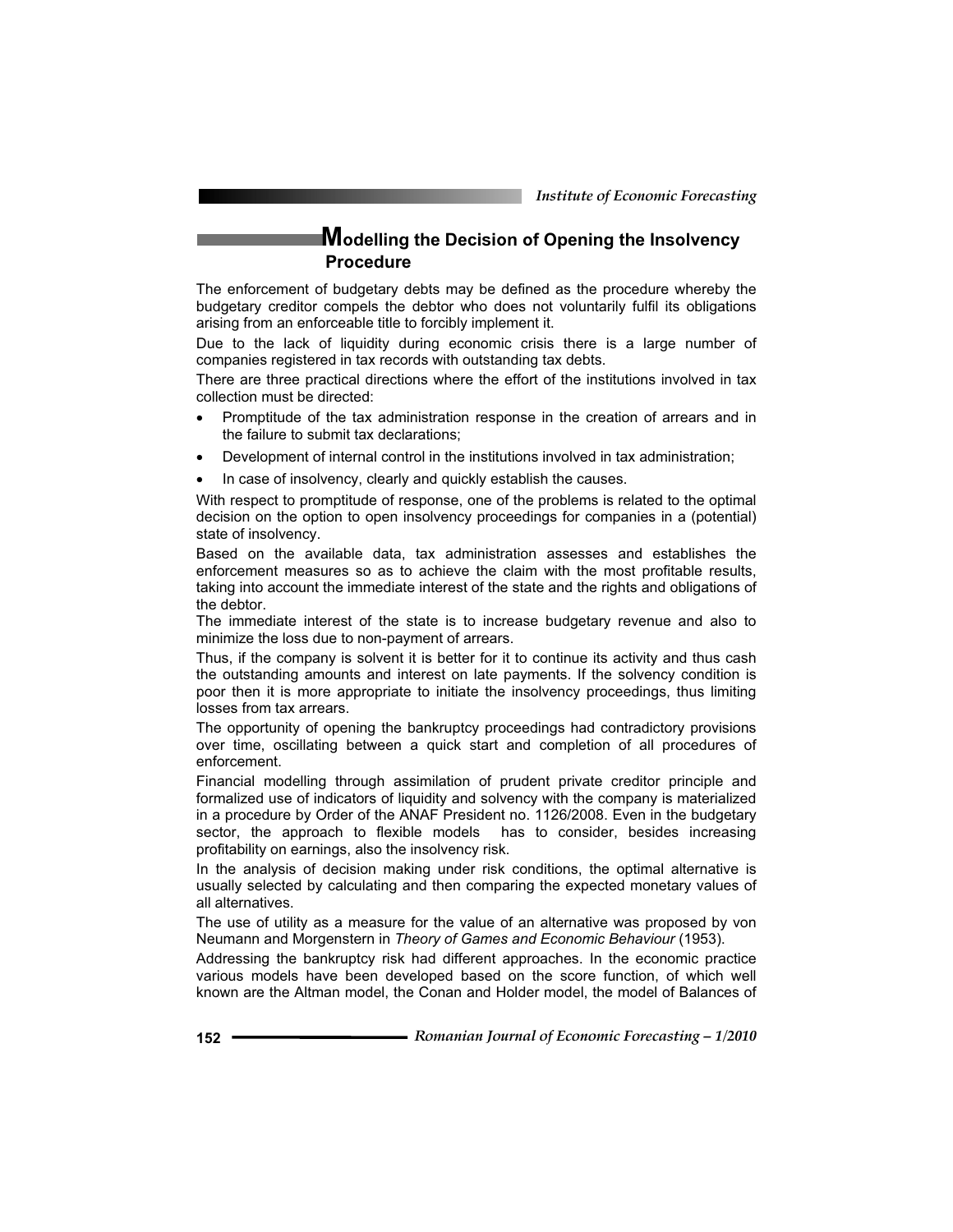*Institute of Economic Forecasting*

## **Modelling the Decision of Opening the Insolvency Procedure**

The enforcement of budgetary debts may be defined as the procedure whereby the budgetary creditor compels the debtor who does not voluntarily fulfil its obligations arising from an enforceable title to forcibly implement it.

Due to the lack of liquidity during economic crisis there is a large number of companies registered in tax records with outstanding tax debts.

There are three practical directions where the effort of the institutions involved in tax collection must be directed:

- Promptitude of the tax administration response in the creation of arrears and in the failure to submit tax declarations;
- Development of internal control in the institutions involved in tax administration;
- In case of insolvency, clearly and quickly establish the causes.

With respect to promptitude of response, one of the problems is related to the optimal decision on the option to open insolvency proceedings for companies in a (potential) state of insolvency.

Based on the available data, tax administration assesses and establishes the enforcement measures so as to achieve the claim with the most profitable results, taking into account the immediate interest of the state and the rights and obligations of the debtor.

The immediate interest of the state is to increase budgetary revenue and also to minimize the loss due to non-payment of arrears.

Thus, if the company is solvent it is better for it to continue its activity and thus cash the outstanding amounts and interest on late payments. If the solvency condition is poor then it is more appropriate to initiate the insolvency proceedings, thus limiting losses from tax arrears.

The opportunity of opening the bankruptcy proceedings had contradictory provisions over time, oscillating between a quick start and completion of all procedures of enforcement.

Financial modelling through assimilation of prudent private creditor principle and formalized use of indicators of liquidity and solvency with the company is materialized in a procedure by Order of the ANAF President no. 1126/2008. Even in the budgetary sector, the approach to flexible models has to consider, besides increasing profitability on earnings, also the insolvency risk.

In the analysis of decision making under risk conditions, the optimal alternative is usually selected by calculating and then comparing the expected monetary values of all alternatives.

The use of utility as a measure for the value of an alternative was proposed by von Neumann and Morgenstern in *Theory of Games and Economic Behaviour* (1953).

Addressing the bankruptcy risk had different approaches. In the economic practice various models have been developed based on the score function, of which well known are the Altman model, the Conan and Holder model, the model of Balances of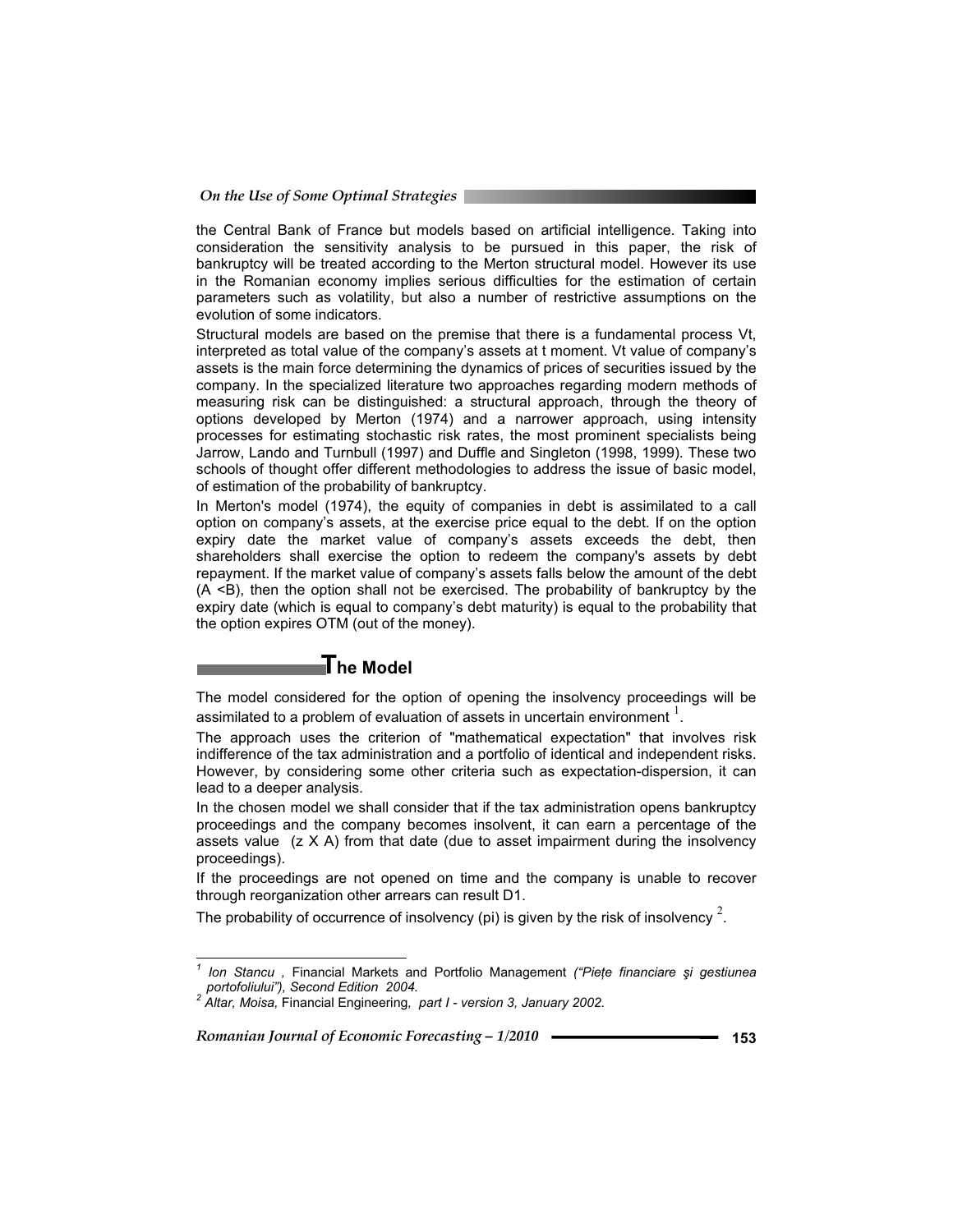the Central Bank of France but models based on artificial intelligence. Taking into consideration the sensitivity analysis to be pursued in this paper, the risk of bankruptcy will be treated according to the Merton structural model. However its use in the Romanian economy implies serious difficulties for the estimation of certain parameters such as volatility, but also a number of restrictive assumptions on the evolution of some indicators.

Structural models are based on the premise that there is a fundamental process Vt, interpreted as total value of the company's assets at t moment. Vt value of company's assets is the main force determining the dynamics of prices of securities issued by the company. In the specialized literature two approaches regarding modern methods of measuring risk can be distinguished: a structural approach, through the theory of options developed by Merton (1974) and a narrower approach, using intensity processes for estimating stochastic risk rates, the most prominent specialists being Jarrow, Lando and Turnbull (1997) and Duffle and Singleton (1998, 1999). These two schools of thought offer different methodologies to address the issue of basic model, of estimation of the probability of bankruptcy.

In Merton's model (1974), the equity of companies in debt is assimilated to a call option on company's assets, at the exercise price equal to the debt. If on the option expiry date the market value of company's assets exceeds the debt, then shareholders shall exercise the option to redeem the company's assets by debt repayment. If the market value of company's assets falls below the amount of the debt (A <B), then the option shall not be exercised. The probability of bankruptcy by the expiry date (which is equal to company's debt maturity) is equal to the probability that the option expires OTM (out of the money).

### **The Model**

The model considered for the option of opening the insolvency proceedings will be assimilated to a problem of evaluation of assets in uncertain environment  $^{\mathrm{l}}$  .

The approach uses the criterion of "mathematical expectation" that involves risk indifference of the tax administration and a portfolio of identical and independent risks. However, by considering some other criteria such as expectation-dispersion, it can lead to a deeper analysis.

In the chosen model we shall consider that if the tax administration opens bankruptcy proceedings and the company becomes insolvent, it can earn a percentage of the assets value  $(z \times A)$  from that date (due to asset impairment during the insolvency proceedings).

If the proceedings are not opened on time and the company is unable to recover through reorganization other arrears can result D1.

The probability of occurrence of insolvency (pi) is given by the risk of insolvency  $^2$ .

 *1 Ion Stancu ,* Financial Markets and Portfolio Management *("PieĠe financiare úi gestiunea portofoliului"), Second Edition 2004. 2 Altar, Moisa,* Financial Engineering*, part I - version 3, January 2002.*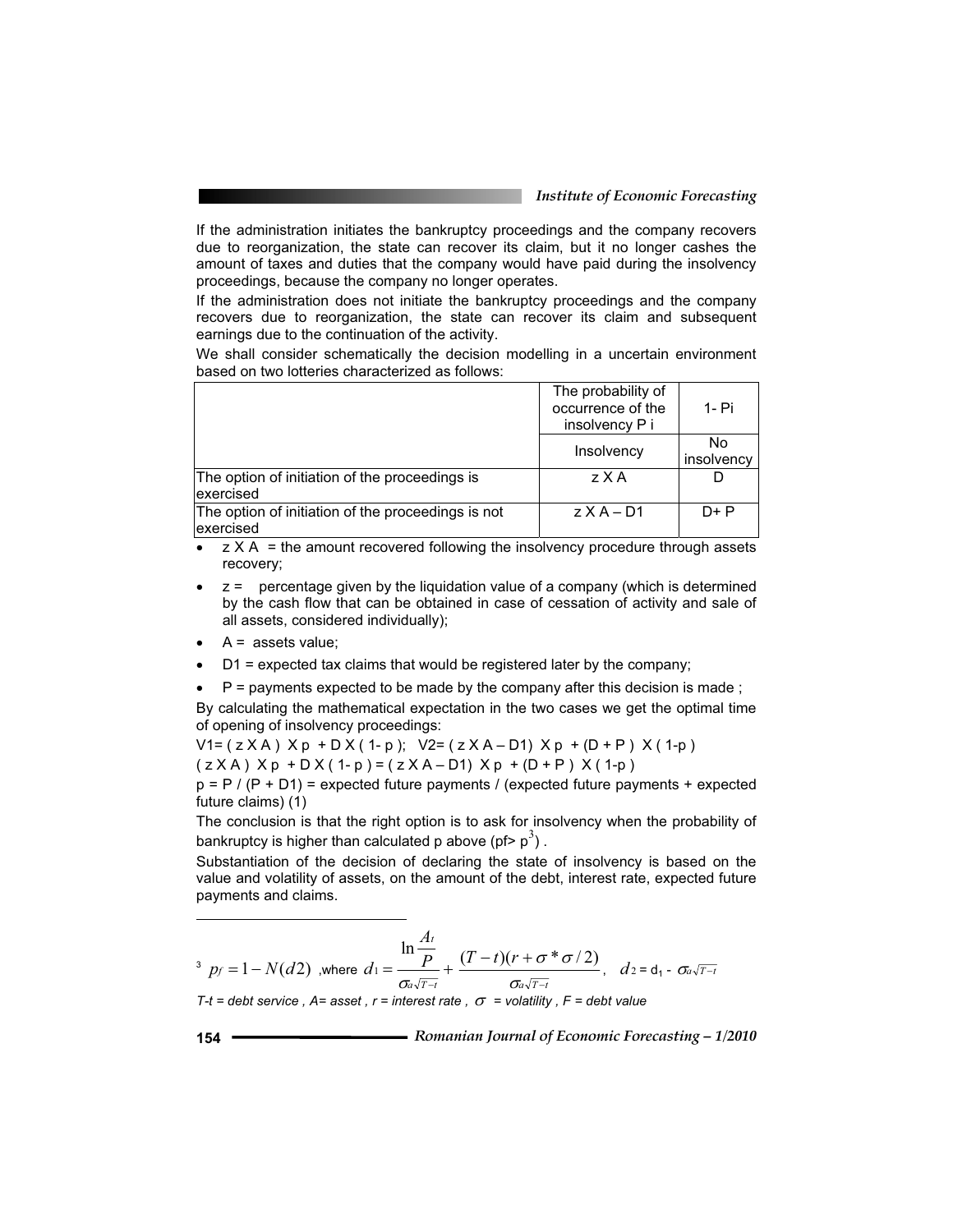If the administration initiates the bankruptcy proceedings and the company recovers due to reorganization, the state can recover its claim, but it no longer cashes the amount of taxes and duties that the company would have paid during the insolvency proceedings, because the company no longer operates.

If the administration does not initiate the bankruptcy proceedings and the company recovers due to reorganization, the state can recover its claim and subsequent earnings due to the continuation of the activity.

We shall consider schematically the decision modelling in a uncertain environment based on two lotteries characterized as follows:

|                                                                  | The probability of<br>occurrence of the<br>insolvency P i | 1- Pi            |
|------------------------------------------------------------------|-----------------------------------------------------------|------------------|
|                                                                  | Insolvency                                                | No<br>insolvency |
| The option of initiation of the proceedings is<br>lexercised     | zXA                                                       |                  |
| The option of initiation of the proceedings is not<br>lexercised | $Z$ $X$ $A$ $ D$ 1                                        | $D + P$          |

 $\bullet$   $\mathsf{z} \times \mathsf{A}$  = the amount recovered following the insolvency procedure through assets recovery;

- $\bullet$   $\bar{z}$  = percentage given by the liquidation value of a company (which is determined by the cash flow that can be obtained in case of cessation of activity and sale of all assets, considered individually);
- $A =$  assets value;

 $\overline{a}$ 

- $D1$  = expected tax claims that would be registered later by the company;
- $P =$  payments expected to be made by the company after this decision is made ;

By calculating the mathematical expectation in the two cases we get the optimal time of opening of insolvency proceedings:

 $V1 = ( z X A ) X p + D X ( 1-p ); V2 = ( z X A - D1) X p + (D + P ) X ( 1-p )$  $(z X A) X p + D X (1-p) = (z X A - D1) X p + (D + P) X (1-p)$ 

 $p = P / (P + D1)$  = expected future payments / (expected future payments + expected future claims) (1)

The conclusion is that the right option is to ask for insolvency when the probability of bankruptcy is higher than calculated p above (pf>  $p^3$ ).

Substantiation of the decision of declaring the state of insolvency is based on the value and volatility of assets, on the amount of the debt, interest rate, expected future payments and claims.

 $\frac{3}{2}$   $p_f = 1 - N(d2)$  ,where  $d_1 = \frac{P}{\sigma_a \sqrt{r-1}} +$ *t P A d*  $\sigma$ ln  $1 = \frac{1}{\sigma_a \sqrt{T-t}} + \frac{1}{\sigma_a \sqrt{T-t}}$  $T - t$ *f*  $r$ ÷  $(t-r)(r+$  $\sigma$  $\frac{(T-t)(r+\sigma^* \sigma/2)}{r}$ ,  $d_2 = d_1 - \sigma_4 \sqrt{r-t}$ *T-t* = debt service,  $A = asset$ ,  $r = interest$  rate,  $\sigma = volatility$ ,  $F = debt$  value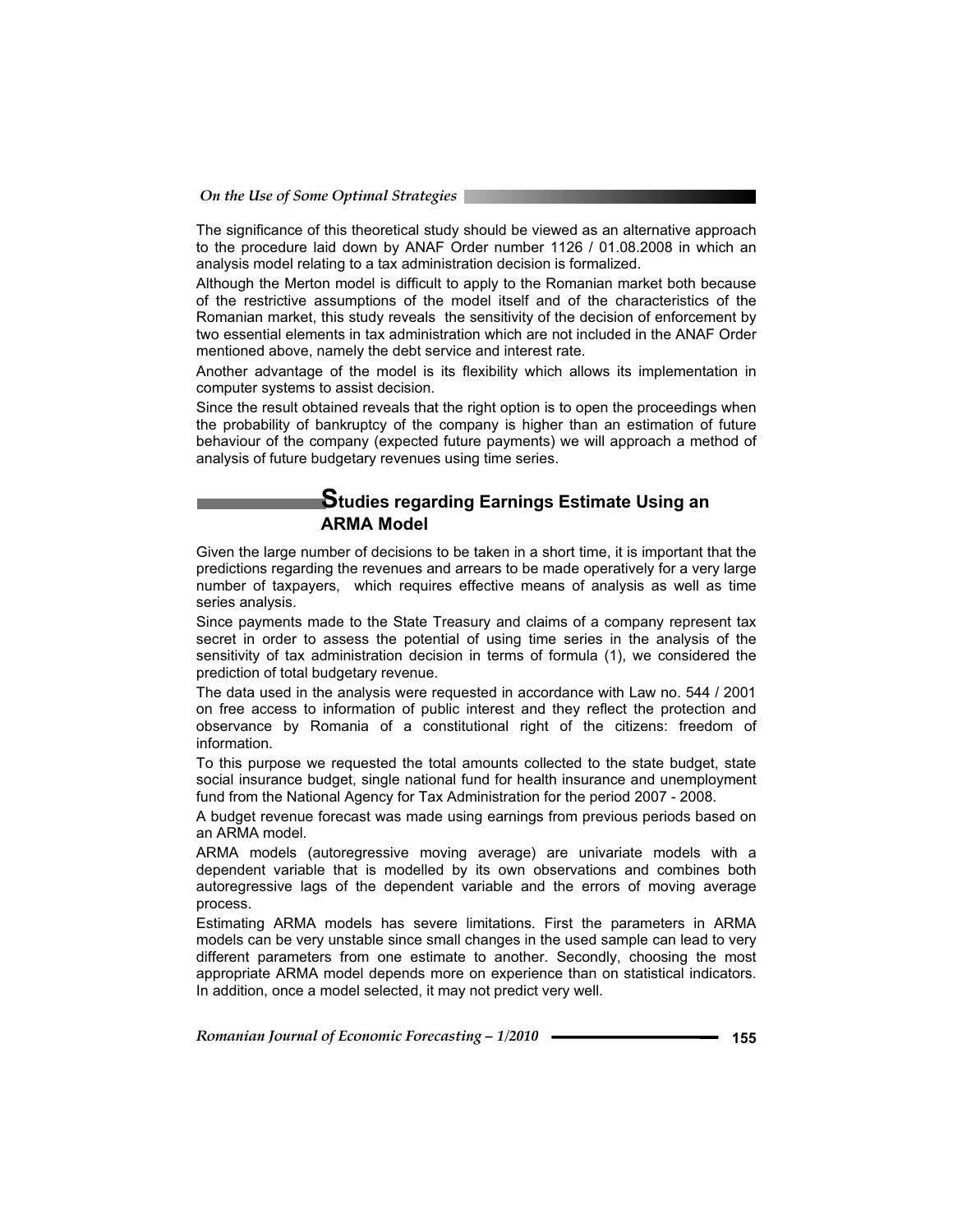The significance of this theoretical study should be viewed as an alternative approach to the procedure laid down by ANAF Order number 1126 / 01.08.2008 in which an analysis model relating to a tax administration decision is formalized.

Although the Merton model is difficult to apply to the Romanian market both because of the restrictive assumptions of the model itself and of the characteristics of the Romanian market, this study reveals the sensitivity of the decision of enforcement by two essential elements in tax administration which are not included in the ANAF Order mentioned above, namely the debt service and interest rate.

Another advantage of the model is its flexibility which allows its implementation in computer systems to assist decision.

Since the result obtained reveals that the right option is to open the proceedings when the probability of bankruptcy of the company is higher than an estimation of future behaviour of the company (expected future payments) we will approach a method of analysis of future budgetary revenues using time series.

#### **Studies regarding Earnings Estimate Using an ARMA Model**

Given the large number of decisions to be taken in a short time, it is important that the predictions regarding the revenues and arrears to be made operatively for a very large number of taxpayers, which requires effective means of analysis as well as time series analysis.

Since payments made to the State Treasury and claims of a company represent tax secret in order to assess the potential of using time series in the analysis of the sensitivity of tax administration decision in terms of formula (1), we considered the prediction of total budgetary revenue.

The data used in the analysis were requested in accordance with Law no. 544 / 2001 on free access to information of public interest and they reflect the protection and observance by Romania of a constitutional right of the citizens: freedom of information.

To this purpose we requested the total amounts collected to the state budget, state social insurance budget, single national fund for health insurance and unemployment fund from the National Agency for Tax Administration for the period 2007 - 2008.

A budget revenue forecast was made using earnings from previous periods based on an ARMA model.

ARMA models (autoregressive moving average) are univariate models with a dependent variable that is modelled by its own observations and combines both autoregressive lags of the dependent variable and the errors of moving average process.

Estimating ARMA models has severe limitations. First the parameters in ARMA models can be very unstable since small changes in the used sample can lead to very different parameters from one estimate to another. Secondly, choosing the most appropriate ARMA model depends more on experience than on statistical indicators. In addition, once a model selected, it may not predict very well.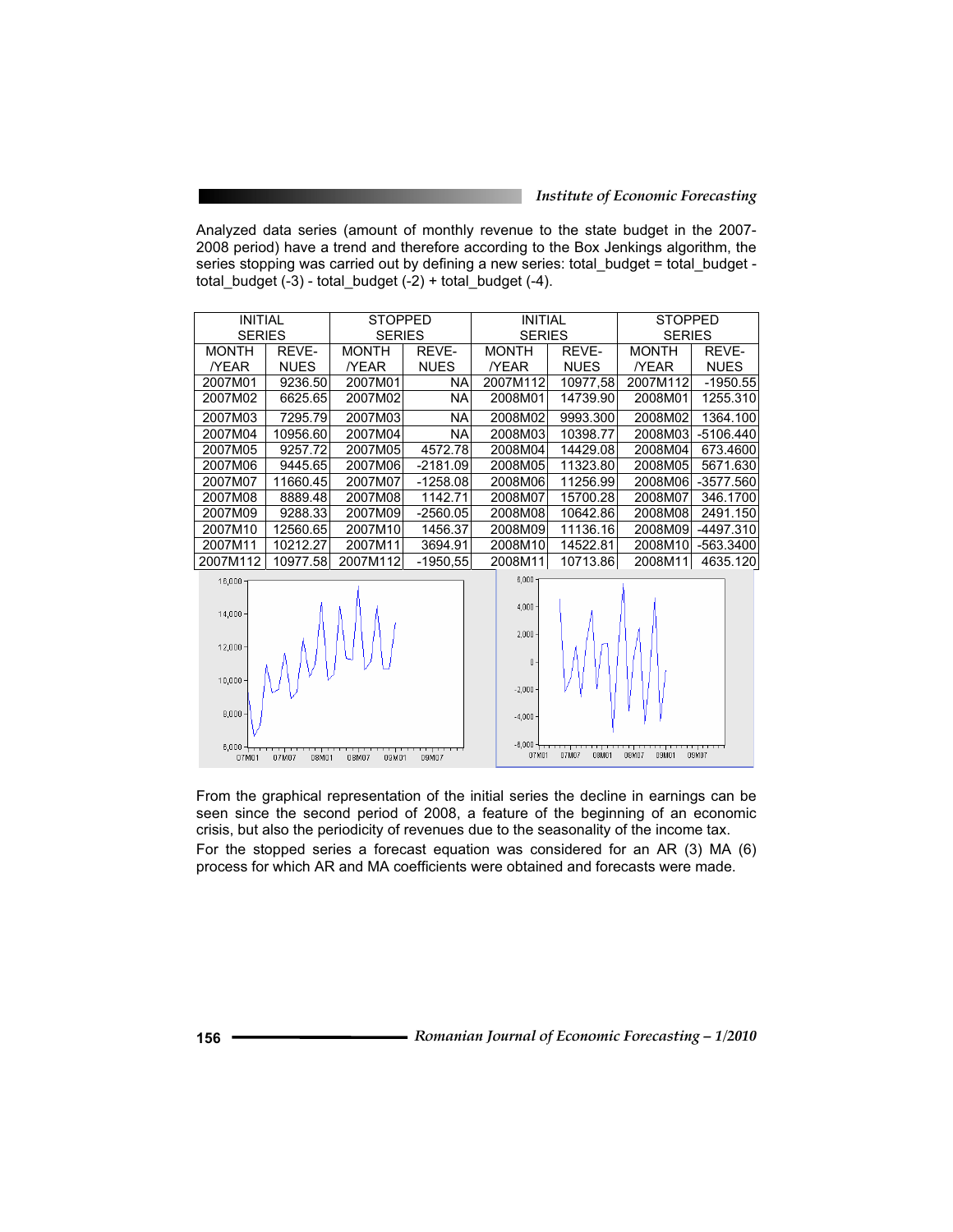Analyzed data series (amount of monthly revenue to the state budget in the 2007- 2008 period) have a trend and therefore according to the Box Jenkings algorithm, the series stopping was carried out by defining a new series: total\_budget = total\_budget total\_budget (-3) - total\_budget (-2) + total\_budget (-4).

| <b>INITIAL</b> |                | <b>STOPPED</b> |             | <b>INITIAL</b>                 |                | <b>STOPPED</b> |             |
|----------------|----------------|----------------|-------------|--------------------------------|----------------|----------------|-------------|
| <b>SERIES</b>  |                | <b>SERIES</b>  |             | <b>SERIES</b>                  |                | <b>SERIES</b>  |             |
| <b>MONTH</b>   | REVE-          | <b>MONTH</b>   | REVE-       | <b>MONTH</b>                   | REVE-          | <b>MONTH</b>   | REVE-       |
| <b>YEAR</b>    | <b>NUES</b>    | <b>YEAR</b>    | <b>NUES</b> | <b>YEAR</b>                    | <b>NUES</b>    | <b>YEAR</b>    | <b>NUES</b> |
| 2007M01        | 9236.50        | 2007M01        | <b>NA</b>   | 2007M112                       | 10977,58       | 2007M112       | $-1950.55$  |
| 2007M02        | 6625.65        | 2007M02        | <b>NA</b>   | 2008M01                        | 14739.90       | 2008M01        | 1255.310    |
| 2007M03        | 7295.79        | 2007M03        | <b>NA</b>   | 2008M02                        | 9993.300       | 2008M02        | 1364.100    |
| 2007M04        | 10956.60       | 2007M04        | <b>NA</b>   | 2008M03                        | 10398.77       | 2008M03        | $-5106.440$ |
| 2007M05        | 9257.72        | 2007M05        | 4572.78     | 2008M04                        | 14429.08       | 2008M04        | 673.4600    |
| 2007M06        | 9445.65        | 2007M06        | $-2181.09$  | 2008M05                        | 11323.80       | 2008M05        | 5671.630    |
| 2007M07        | 11660.45       | 2007M07        | $-1258.08$  | 2008M06                        | 11256.99       | 2008M06        | $-3577.560$ |
| 2007M08        | 8889.48        | 2007M08        | 1142.71     | 2008M07                        | 15700.28       | 2008M07        | 346.1700    |
| 2007M09        | 9288.33        | 2007M09        | $-2560.05$  | 2008M08                        | 10642.86       | 2008M08        | 2491.150    |
| 2007M10        | 12560.65       | 2007M10        | 1456.37     | 2008M09                        | 11136.16       | 2008M09        | -4497.310   |
| 2007M11        | 10212.27       | 2007M11        | 3694.91     | 2008M10                        | 14522.81       | 2008M10        | $-563.3400$ |
| 2007M112       | 10977.58       | 2007M112       | $-1950,55$  | 2008M11                        | 10713.86       | 2008M11        | 4635.120    |
| 16,000         |                |                |             | 6,000                          |                |                |             |
| $14,000 -$     |                |                |             | $4,000 \cdot$<br>$2.000 \cdot$ |                |                |             |
| $12,000 \cdot$ |                |                |             | $\mathbf{0}$                   |                |                |             |
| 10,000         |                |                |             | $-2,000$                       |                |                |             |
| $8,000 -$      |                |                |             | $-4,000$                       |                |                |             |
| 07M01          | 07M07<br>08M01 | 08M07<br>09M01 | 09M07       | $-6,000 + \cdots$<br>07M01     | 07M07<br>08M01 | 08M07<br>09M01 | 09M07       |

From the graphical representation of the initial series the decline in earnings can be seen since the second period of 2008, a feature of the beginning of an economic crisis, but also the periodicity of revenues due to the seasonality of the income tax. For the stopped series a forecast equation was considered for an AR (3) MA (6) process for which AR and MA coefficients were obtained and forecasts were made.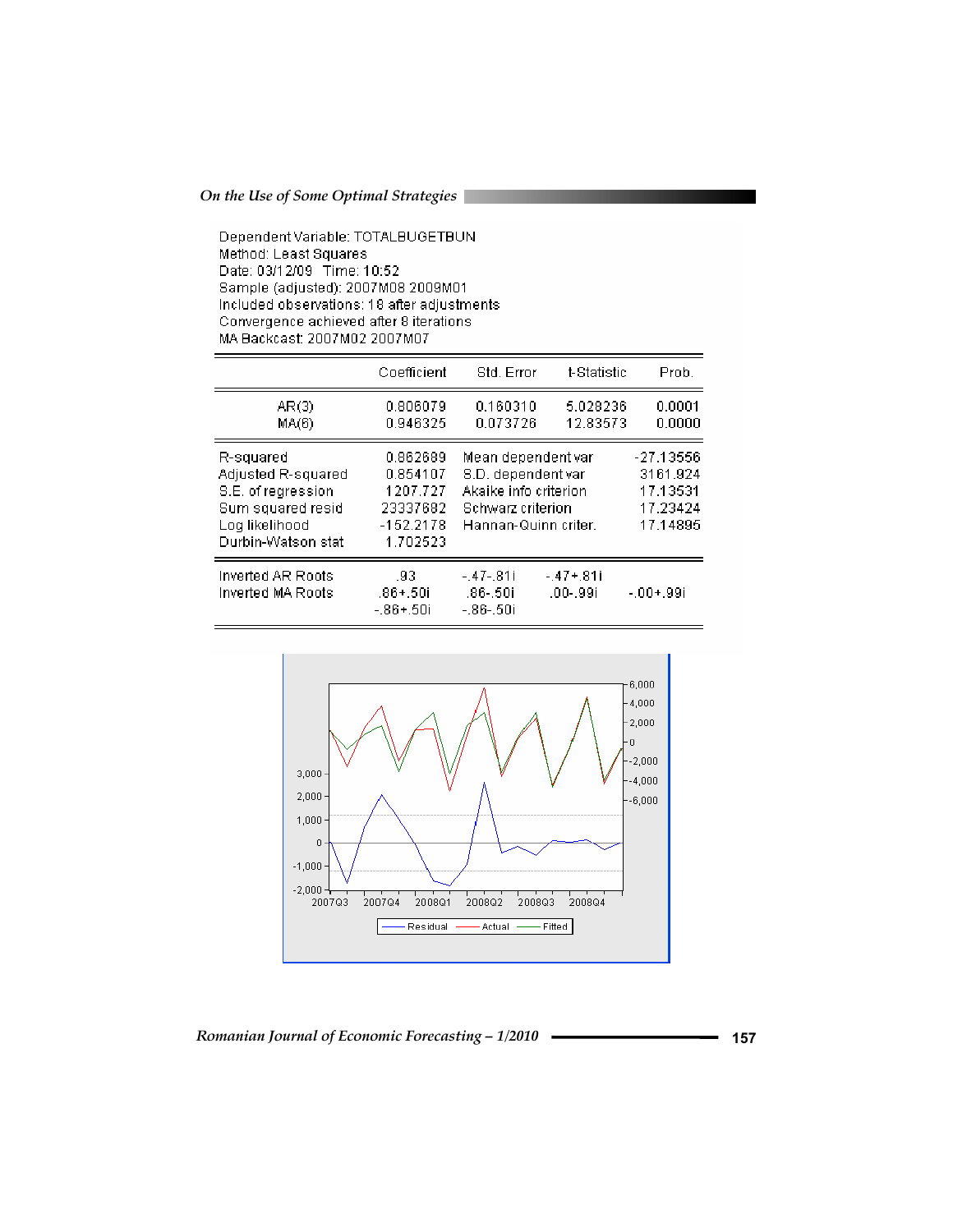Dependent Variable: TOTALBUGETBUN Method: Least Squares Date: 03/12/09 Time: 10:52 Sample (adjusted): 2007M08 2009M01 Included observations: 18 after adjustments Convergence achieved after 8 iterations MA Backcast: 2007M02 2007M07

|                                                                                                                    | Coefficient                                                             | Std. Error                                                                                                     | t-Statistic               | Prob.                                                     |
|--------------------------------------------------------------------------------------------------------------------|-------------------------------------------------------------------------|----------------------------------------------------------------------------------------------------------------|---------------------------|-----------------------------------------------------------|
| AR(3)<br>MA(6)                                                                                                     | 0.806079<br>0.946325                                                    | 0.160310<br>0.073726                                                                                           | 5.028236<br>12.83573      | 0.0001<br>0.0000                                          |
| R-squared<br>Adjusted R-squared<br>S.E. of regression<br>Sum squared resid<br>Log likelihood<br>Durbin-Watson stat | 0.862689<br>0.854107<br>1207.727<br>23337682<br>$-152.2178$<br>1.702523 | Mean dependent var<br>S.D. dependent var<br>Akaike info criterion<br>Schwarz criterion<br>Hannan-Quinn criter. |                           | -27.13556<br>3161.924<br>17.13531<br>17.23424<br>17.14895 |
| Inverted AR Roots<br>Inverted MA Roots                                                                             | .93<br>$.86 + .50i$<br>-.86+.50i                                        | $-.47-.81i$<br>.86-.50i<br>-.86-.50i                                                                           | $-.47 + .81i$<br>.00-.99i | $-.00+.99i$                                               |

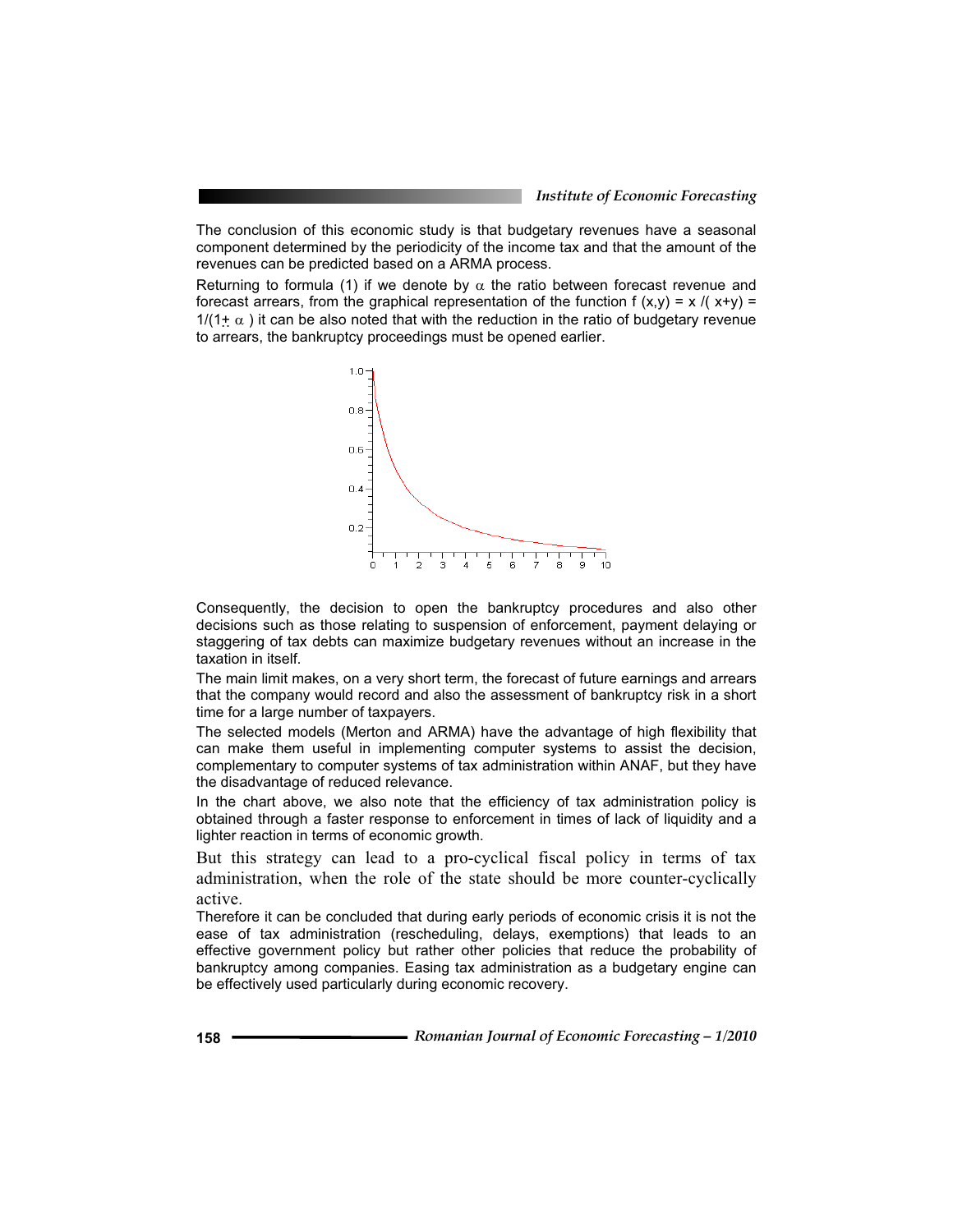The conclusion of this economic study is that budgetary revenues have a seasonal component determined by the periodicity of the income tax and that the amount of the revenues can be predicted based on a ARMA process.

Returning to formula (1) if we denote by  $\alpha$  the ratio between forecast revenue and forecast arrears, from the graphical representation of the function  $f(x,y) = x / (x+y) =$  $1/(1+\alpha)$  it can be also noted that with the reduction in the ratio of budgetary revenue to arrears, the bankruptcy proceedings must be opened earlier.



Consequently, the decision to open the bankruptcy procedures and also other decisions such as those relating to suspension of enforcement, payment delaying or staggering of tax debts can maximize budgetary revenues without an increase in the taxation in itself.

The main limit makes, on a very short term, the forecast of future earnings and arrears that the company would record and also the assessment of bankruptcy risk in a short time for a large number of taxpayers.

The selected models (Merton and ARMA) have the advantage of high flexibility that can make them useful in implementing computer systems to assist the decision, complementary to computer systems of tax administration within ANAF, but they have the disadvantage of reduced relevance.

In the chart above, we also note that the efficiency of tax administration policy is obtained through a faster response to enforcement in times of lack of liquidity and a lighter reaction in terms of economic growth.

But this strategy can lead to a pro-cyclical fiscal policy in terms of tax administration, when the role of the state should be more counter-cyclically active.

Therefore it can be concluded that during early periods of economic crisis it is not the ease of tax administration (rescheduling, delays, exemptions) that leads to an effective government policy but rather other policies that reduce the probability of bankruptcy among companies. Easing tax administration as a budgetary engine can be effectively used particularly during economic recovery.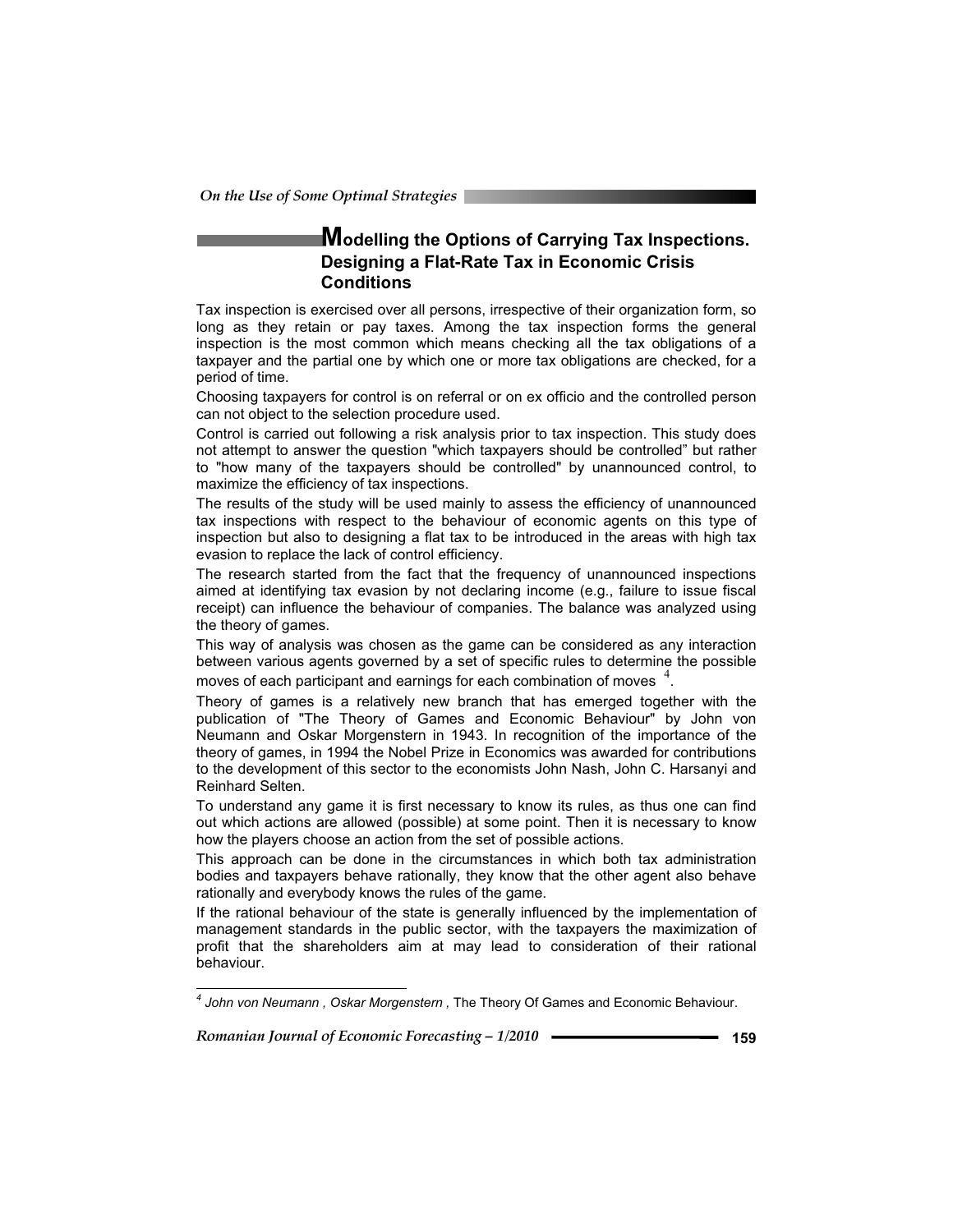### **Modelling the Options of Carrying Tax Inspections. Designing a Flat-Rate Tax in Economic Crisis Conditions**

Tax inspection is exercised over all persons, irrespective of their organization form, so long as they retain or pay taxes. Among the tax inspection forms the general inspection is the most common which means checking all the tax obligations of a taxpayer and the partial one by which one or more tax obligations are checked, for a period of time.

Choosing taxpayers for control is on referral or on ex officio and the controlled person can not object to the selection procedure used.

Control is carried out following a risk analysis prior to tax inspection. This study does not attempt to answer the question "which taxpayers should be controlled" but rather to "how many of the taxpayers should be controlled" by unannounced control, to maximize the efficiency of tax inspections.

The results of the study will be used mainly to assess the efficiency of unannounced tax inspections with respect to the behaviour of economic agents on this type of inspection but also to designing a flat tax to be introduced in the areas with high tax evasion to replace the lack of control efficiency.

The research started from the fact that the frequency of unannounced inspections aimed at identifying tax evasion by not declaring income (e.g., failure to issue fiscal receipt) can influence the behaviour of companies. The balance was analyzed using the theory of games.

This way of analysis was chosen as the game can be considered as any interaction between various agents governed by a set of specific rules to determine the possible moves of each participant and earnings for each combination of moves  $4$ .

Theory of games is a relatively new branch that has emerged together with the publication of "The Theory of Games and Economic Behaviour" by John von Neumann and Oskar Morgenstern in 1943. In recognition of the importance of the theory of games, in 1994 the Nobel Prize in Economics was awarded for contributions to the development of this sector to the economists John Nash, John C. Harsanyi and Reinhard Selten.

To understand any game it is first necessary to know its rules, as thus one can find out which actions are allowed (possible) at some point. Then it is necessary to know how the players choose an action from the set of possible actions.

This approach can be done in the circumstances in which both tax administration bodies and taxpayers behave rationally, they know that the other agent also behave rationally and everybody knows the rules of the game.

If the rational behaviour of the state is generally influenced by the implementation of management standards in the public sector, with the taxpayers the maximization of profit that the shareholders aim at may lead to consideration of their rational behaviour.

 *4 John von Neumann , Oskar Morgenstern ,* The Theory Of Games and Economic Behaviour.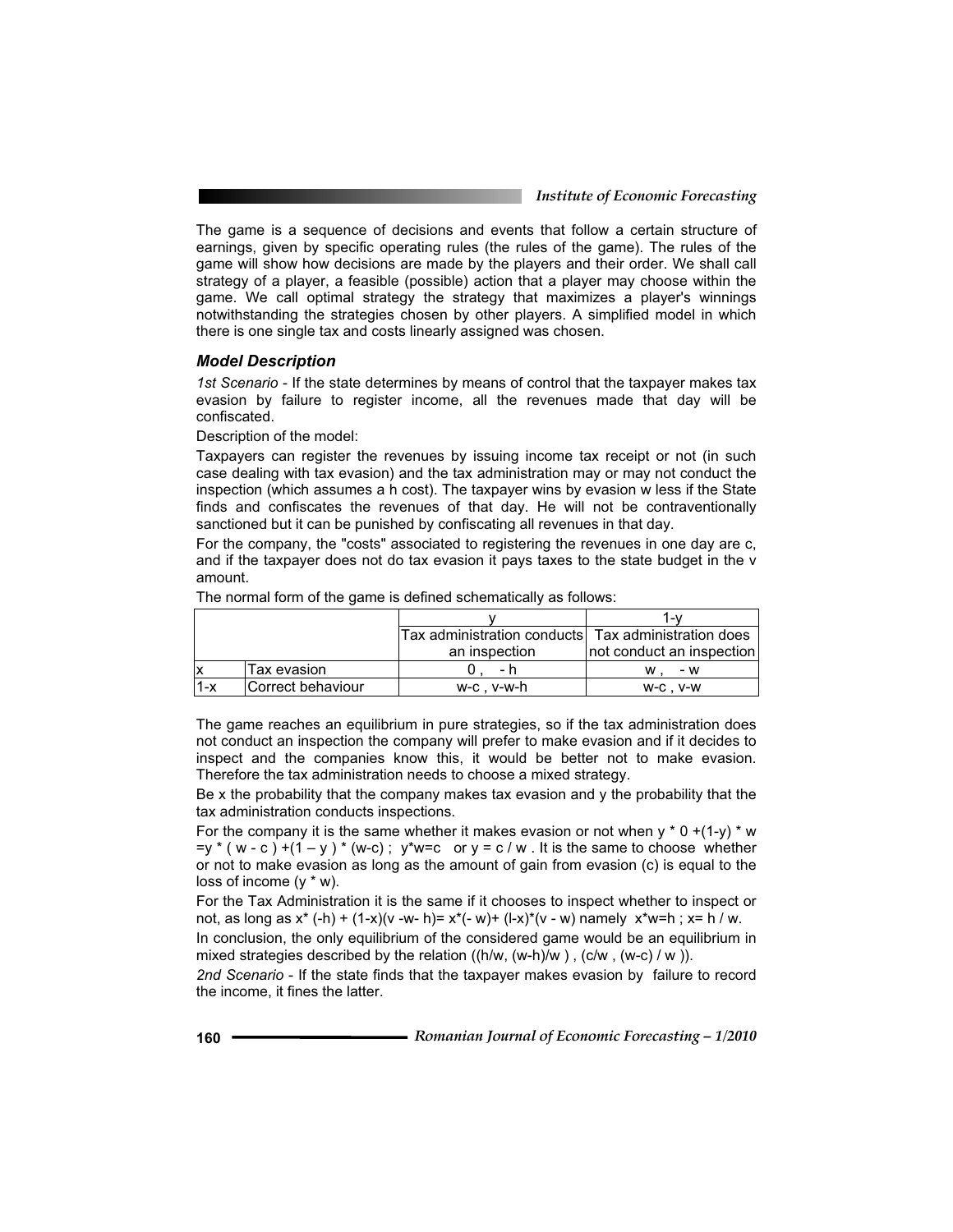*Institute of Economic Forecasting*

The game is a sequence of decisions and events that follow a certain structure of earnings, given by specific operating rules (the rules of the game). The rules of the game will show how decisions are made by the players and their order. We shall call strategy of a player, a feasible (possible) action that a player may choose within the game. We call optimal strategy the strategy that maximizes a player's winnings notwithstanding the strategies chosen by other players. A simplified model in which there is one single tax and costs linearly assigned was chosen.

#### *Model Description*

*1st Scenario* - If the state determines by means of control that the taxpayer makes tax evasion by failure to register income, all the revenues made that day will be confiscated.

Description of the model:

Taxpayers can register the revenues by issuing income tax receipt or not (in such case dealing with tax evasion) and the tax administration may or may not conduct the inspection (which assumes a h cost). The taxpayer wins by evasion w less if the State finds and confiscates the revenues of that day. He will not be contraventionally sanctioned but it can be punished by confiscating all revenues in that day.

For the company, the "costs" associated to registering the revenues in one day are c, and if the taxpayer does not do tax evasion it pays taxes to the state budget in the v amount.

|     |                   |                                                     | 1 – V                     |  |
|-----|-------------------|-----------------------------------------------------|---------------------------|--|
|     |                   | Tax administration conducts Tax administration does |                           |  |
|     |                   | an inspection                                       | not conduct an inspection |  |
|     | Tax evasion       |                                                     | - w<br>w                  |  |
| 1-x | Correct behaviour | w-c.v-w-h                                           | $W$ -C. $V$ -W            |  |

The normal form of the game is defined schematically as follows:

The game reaches an equilibrium in pure strategies, so if the tax administration does not conduct an inspection the company will prefer to make evasion and if it decides to inspect and the companies know this, it would be better not to make evasion. Therefore the tax administration needs to choose a mixed strategy.

Be x the probability that the company makes tax evasion and y the probability that the tax administration conducts inspections.

For the company it is the same whether it makes evasion or not when  $y * 0 + (1-y) * w$  $=y * (w - c) + (1 - y) * (w - c)$ ;  $y * w = c$  or  $y = c / w$ . It is the same to choose whether or not to make evasion as long as the amount of gain from evasion (c) is equal to the loss of income  $(y * w)$ .

For the Tax Administration it is the same if it chooses to inspect whether to inspect or not, as long as  $x^*$  (-h) + (1-x)(v -w- h)=  $x^*(-w)$ + (l-x)<sup>\*</sup>(v - w) namely  $x^*w=h$ ;  $x=h/w$ .

In conclusion, the only equilibrium of the considered game would be an equilibrium in mixed strategies described by the relation  $((h/w, (w-h)/w)$ ,  $(c/w, (w-c)/w)$ ).

*2nd Scenario* - If the state finds that the taxpayer makes evasion by failure to record the income, it fines the latter.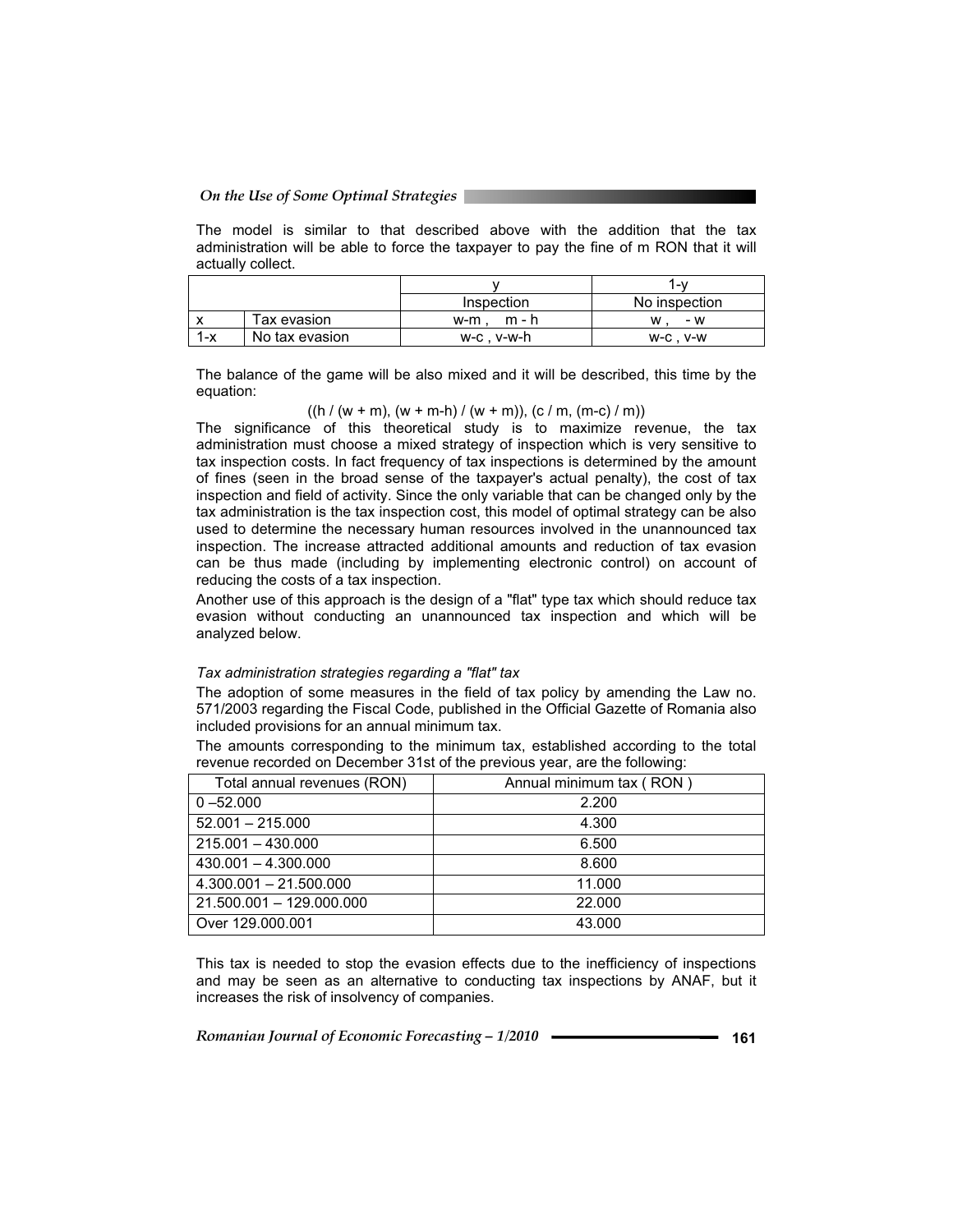The model is similar to that described above with the addition that the tax administration will be able to force the taxpayer to pay the fine of m RON that it will actually collect.

|     |                |              | ∕\-           |  |
|-----|----------------|--------------|---------------|--|
|     |                | Inspection   | No inspection |  |
|     | Tax evasion    | m - h<br>w-m | - w<br>w      |  |
| 1-x | No tax evasion | w-c.v-w-h    | $W-C. V-W$    |  |

The balance of the game will be also mixed and it will be described, this time by the equation:

 $((h / (w + m), (w + m-h) / (w + m)), (c / m, (m-c) / m))$ 

The significance of this theoretical study is to maximize revenue, the tax administration must choose a mixed strategy of inspection which is very sensitive to tax inspection costs. In fact frequency of tax inspections is determined by the amount of fines (seen in the broad sense of the taxpayer's actual penalty), the cost of tax inspection and field of activity. Since the only variable that can be changed only by the tax administration is the tax inspection cost, this model of optimal strategy can be also used to determine the necessary human resources involved in the unannounced tax inspection. The increase attracted additional amounts and reduction of tax evasion can be thus made (including by implementing electronic control) on account of reducing the costs of a tax inspection.

Another use of this approach is the design of a "flat" type tax which should reduce tax evasion without conducting an unannounced tax inspection and which will be analyzed below.

#### *Tax administration strategies regarding a "flat" tax*

The adoption of some measures in the field of tax policy by amending the Law no. 571/2003 regarding the Fiscal Code, published in the Official Gazette of Romania also included provisions for an annual minimum tax.

The amounts corresponding to the minimum tax, established according to the total revenue recorded on December 31st of the previous year, are the following:

| Total annual revenues (RON) | Annual minimum tax (RON) |
|-----------------------------|--------------------------|
| $0 - 52.000$                | 2.200                    |
| $52.001 - 215.000$          | 4.300                    |
| $215.001 - 430.000$         | 6.500                    |
| $430.001 - 4.300.000$       | 8.600                    |
| $4.300.001 - 21.500.000$    | 11.000                   |
| 21.500.001 - 129.000.000    | 22,000                   |
| Over 129,000,001            | 43.000                   |

This tax is needed to stop the evasion effects due to the inefficiency of inspections and may be seen as an alternative to conducting tax inspections by ANAF, but it increases the risk of insolvency of companies.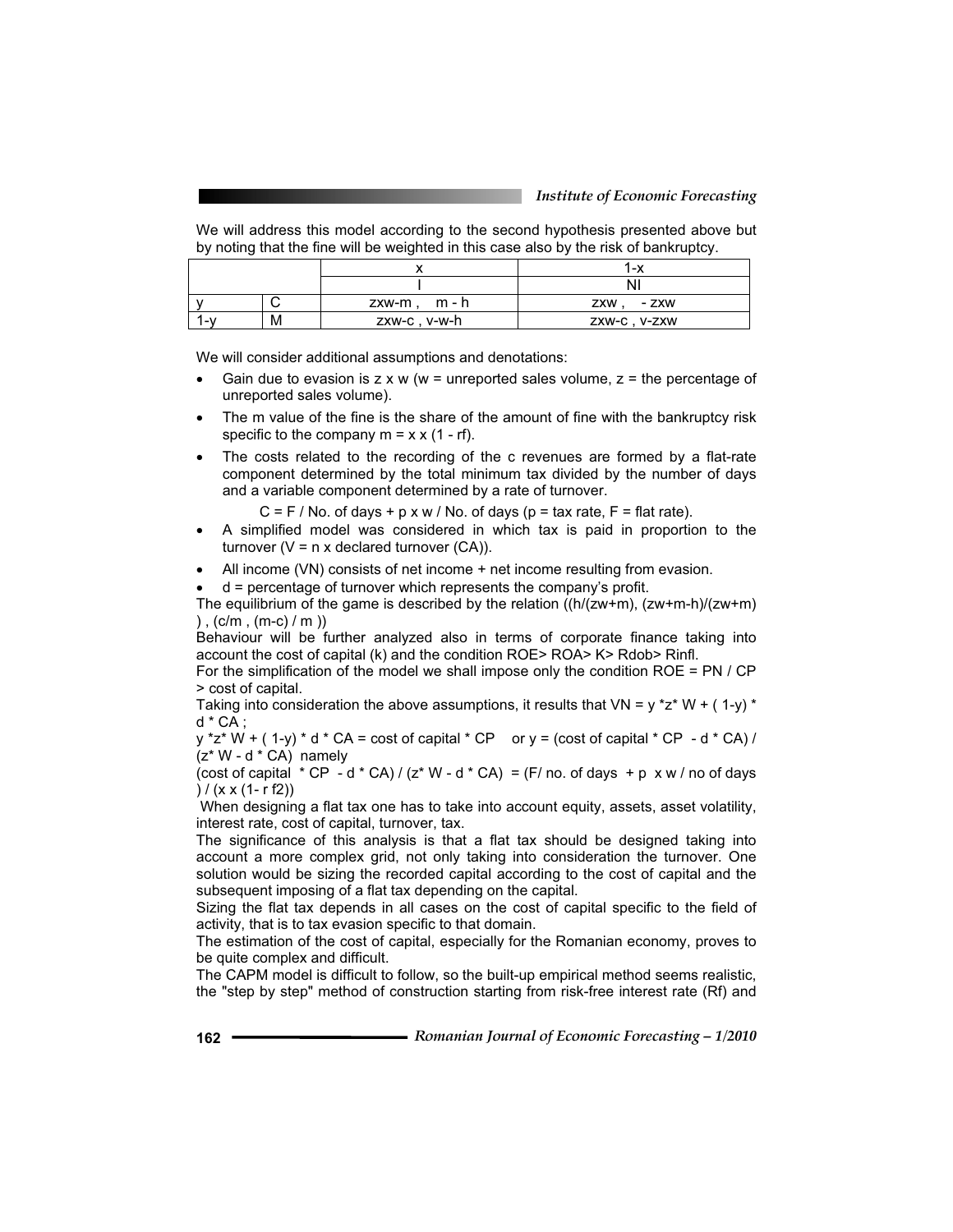We will address this model according to the second hypothesis presented above but by noting that the fine will be weighted in this case also by the risk of bankruptcy.

|       |   |               | 1-x           |  |
|-------|---|---------------|---------------|--|
|       |   |               |               |  |
|       |   | zxw-m, m-h    | ZXW. - ZXW    |  |
| . – V | м | zxw-c , v-w-h | ZXW-C , V-ZXW |  |

We will consider additional assumptions and denotations:

- Gain due to evasion is  $z \times w$  (w = unreported sales volume,  $z =$  the percentage of unreported sales volume).
- The m value of the fine is the share of the amount of fine with the bankruptcy risk specific to the company  $m = x \times (1 - rf)$ .
- The costs related to the recording of the c revenues are formed by a flat-rate component determined by the total minimum tax divided by the number of days and a variable component determined by a rate of turnover.
	- $C = F / No$ . of days + p x w / No. of days (p = tax rate, F = flat rate).
- A simplified model was considered in which tax is paid in proportion to the turnover ( $V = n \times$  declared turnover (CA)).
- $\bullet$  All income (VN) consists of net income  $+$  net income resulting from evasion.

 $d$  = percentage of turnover which represents the company's profit.

The equilibrium of the game is described by the relation  $((h/(zw+m), (zw+m)/(zw+m))$ ),  $(c/m, (m-c)/m)$ 

Behaviour will be further analyzed also in terms of corporate finance taking into account the cost of capital (k) and the condition ROE> ROA> K> Rdob> Rinfl.

For the simplification of the model we shall impose only the condition ROE = PN / CP > cost of capital.

Taking into consideration the above assumptions, it results that  $VN = y * z * W + (1-y) *$ d \* CA ;

 $y *z * W + (1-y) * d * CA = cost of capital * CP \quad or y = (cost of capital * CP - d * CA) /$  $(z^* W - d^* CA)$  namely

(cost of capital  $*$  CP - d $*$  CA) / (z $*$  W - d $*$  CA) = (F/ no. of days + p x w / no of days )  $/ (x \times (1 - r f2))$ 

When designing a flat tax one has to take into account equity, assets, asset volatility, interest rate, cost of capital, turnover, tax.

The significance of this analysis is that a flat tax should be designed taking into account a more complex grid, not only taking into consideration the turnover. One solution would be sizing the recorded capital according to the cost of capital and the subsequent imposing of a flat tax depending on the capital.

Sizing the flat tax depends in all cases on the cost of capital specific to the field of activity, that is to tax evasion specific to that domain.

The estimation of the cost of capital, especially for the Romanian economy, proves to be quite complex and difficult.

The CAPM model is difficult to follow, so the built-up empirical method seems realistic, the "step by step" method of construction starting from risk-free interest rate (Rf) and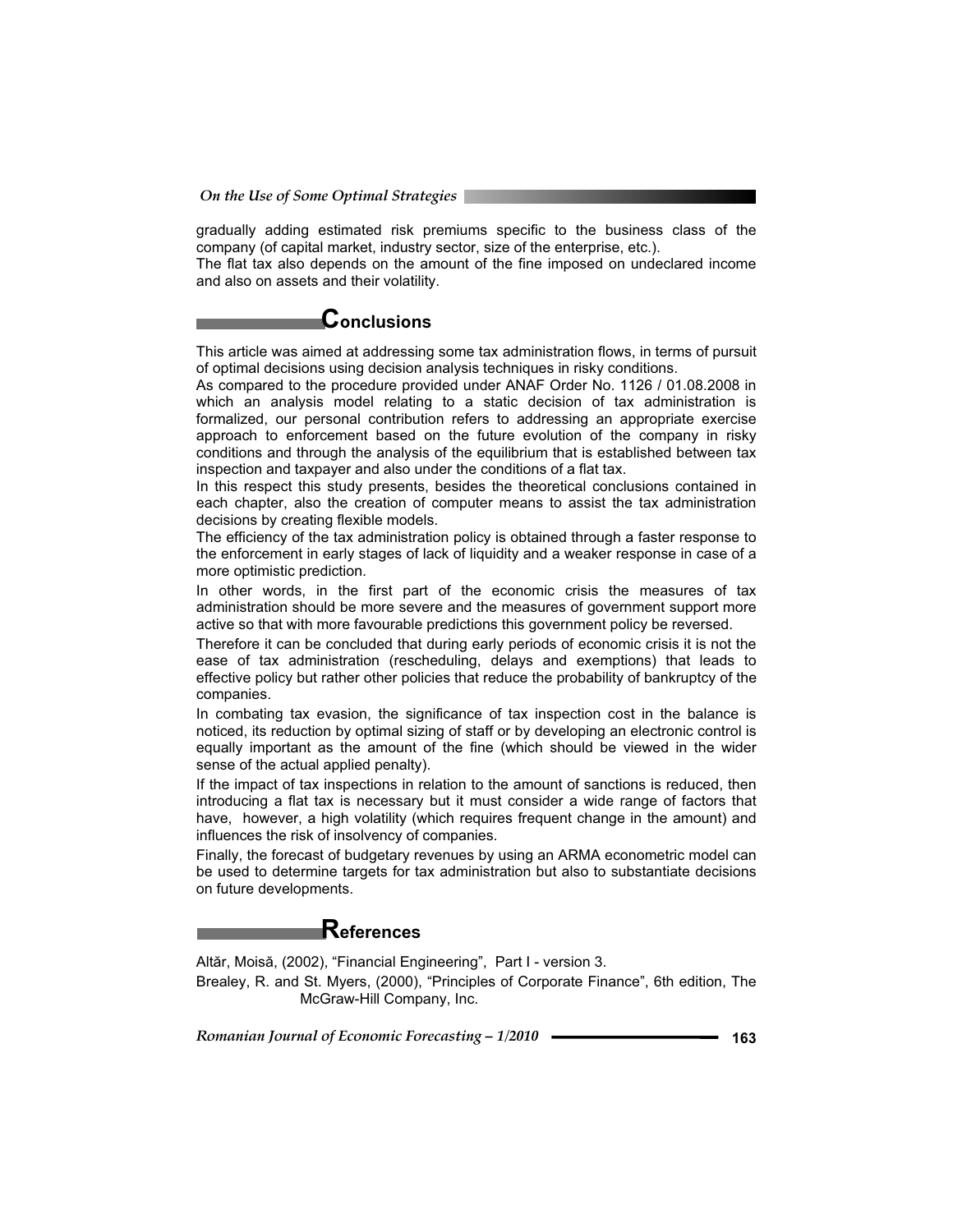gradually adding estimated risk premiums specific to the business class of the company (of capital market, industry sector, size of the enterprise, etc.).

The flat tax also depends on the amount of the fine imposed on undeclared income and also on assets and their volatility.

# **Conclusions**

This article was aimed at addressing some tax administration flows, in terms of pursuit of optimal decisions using decision analysis techniques in risky conditions.

As compared to the procedure provided under ANAF Order No. 1126 / 01.08.2008 in which an analysis model relating to a static decision of tax administration is formalized, our personal contribution refers to addressing an appropriate exercise approach to enforcement based on the future evolution of the company in risky conditions and through the analysis of the equilibrium that is established between tax inspection and taxpayer and also under the conditions of a flat tax.

In this respect this study presents, besides the theoretical conclusions contained in each chapter, also the creation of computer means to assist the tax administration decisions by creating flexible models.

The efficiency of the tax administration policy is obtained through a faster response to the enforcement in early stages of lack of liquidity and a weaker response in case of a more optimistic prediction.

In other words, in the first part of the economic crisis the measures of tax administration should be more severe and the measures of government support more active so that with more favourable predictions this government policy be reversed.

Therefore it can be concluded that during early periods of economic crisis it is not the ease of tax administration (rescheduling, delays and exemptions) that leads to effective policy but rather other policies that reduce the probability of bankruptcy of the companies.

In combating tax evasion, the significance of tax inspection cost in the balance is noticed, its reduction by optimal sizing of staff or by developing an electronic control is equally important as the amount of the fine (which should be viewed in the wider sense of the actual applied penalty).

If the impact of tax inspections in relation to the amount of sanctions is reduced, then introducing a flat tax is necessary but it must consider a wide range of factors that have, however, a high volatility (which requires frequent change in the amount) and influences the risk of insolvency of companies.

Finally, the forecast of budgetary revenues by using an ARMA econometric model can be used to determine targets for tax administration but also to substantiate decisions on future developments.

## **References**

Altăr, Moisă, (2002), "Financial Engineering", Part I - version 3. Brealey, R. and St. Myers, (2000), "Principles of Corporate Finance", 6th edition, The McGraw-Hill Company, Inc.